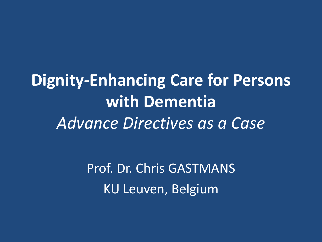**Dignity-Enhancing Care for Persons with Dementia** *Advance Directives as a Case*

> Prof. Dr. Chris GASTMANS KU Leuven, Belgium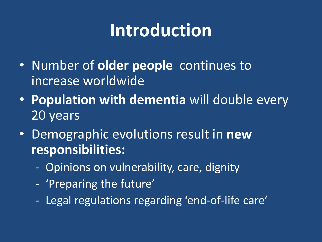## **Introduction**

- Number of **older people** continues to increase worldwide
- **Population with dementia** will double every 20 years
- Demographic evolutions result in **new responsibilities:**
	- Opinions on vulnerability, care, dignity
	- 'Preparing the future'
	- Legal regulations regarding 'end-of-life care'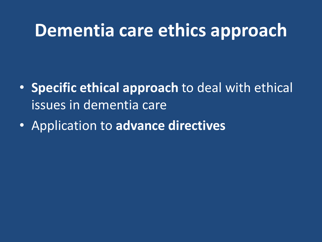- **Specific ethical approach** to deal with ethical issues in dementia care
- Application to **advance directives**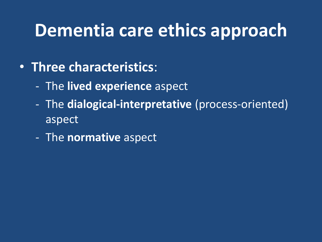- **Three characteristics**:
	- The **lived experience** aspect
	- The **dialogical-interpretative** (process-oriented) aspect
	- The **normative** aspect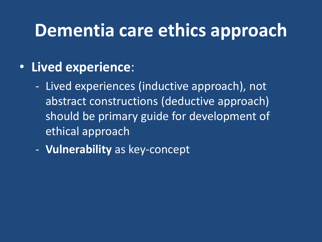#### • **Lived experience**:

- Lived experiences (inductive approach), not abstract constructions (deductive approach) should be primary guide for development of ethical approach
- **Vulnerability** as key-concept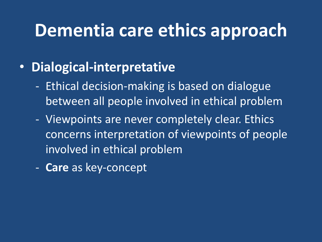#### • **Dialogical-interpretative**

- Ethical decision-making is based on dialogue between all people involved in ethical problem
- Viewpoints are never completely clear. Ethics concerns interpretation of viewpoints of people involved in ethical problem
- **Care** as key-concept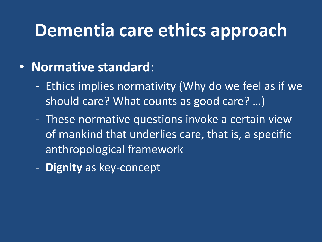#### • **Normative standard**:

- Ethics implies normativity (Why do we feel as if we should care? What counts as good care? …)
- These normative questions invoke a certain view of mankind that underlies care, that is, a specific anthropological framework
- **Dignity** as key-concept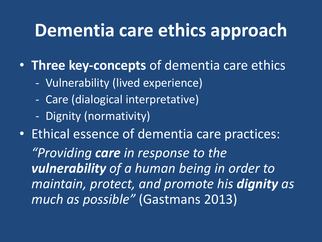• **Three key-concepts** of dementia care ethics

- Vulnerability (lived experience)
- Care (dialogical interpretative)
- Dignity (normativity)

• Ethical essence of dementia care practices: *"Providing care in response to the vulnerability of a human being in order to maintain, protect, and promote his dignity as much as possible"* (Gastmans 2013)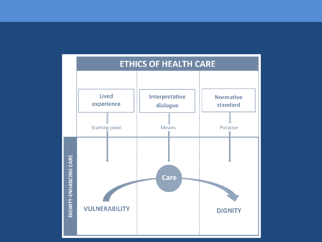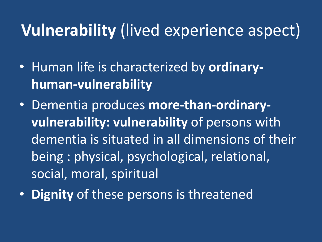## **Vulnerability** (lived experience aspect)

- Human life is characterized by **ordinaryhuman-vulnerability**
- Dementia produces **more-than-ordinaryvulnerability: vulnerability** of persons with dementia is situated in all dimensions of their being : physical, psychological, relational, social, moral, spiritual
- **Dignity** of these persons is threatened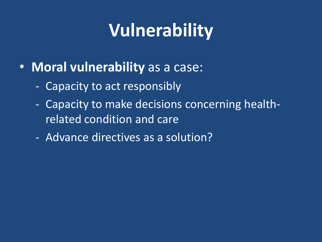# **Vulnerability**

- **Moral vulnerability** as a case:
	- Capacity to act responsibly
	- Capacity to make decisions concerning healthrelated condition and care
	- Advance directives as a solution?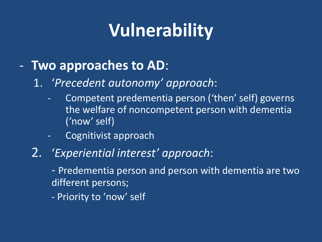# **Vulnerability**

#### - **Two approaches to AD**:

- 1. '*Precedent autonomy' approach*:
	- Competent predementia person ('then' self) governs the welfare of noncompetent person with dementia ('now' self)
	- Cognitivist approach

#### 2. '*Experiential interest' approach*:

- Predementia person and person with dementia are two different persons;
- Priority to 'now' self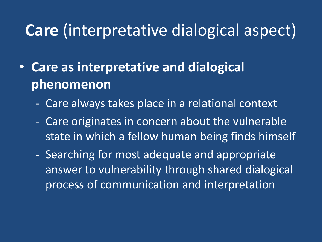## **Care** (interpretative dialogical aspect)

- **Care as interpretative and dialogical phenomenon**
	- Care always takes place in a relational context
	- Care originates in concern about the vulnerable state in which a fellow human being finds himself
	- Searching for most adequate and appropriate answer to vulnerability through shared dialogical process of communication and interpretation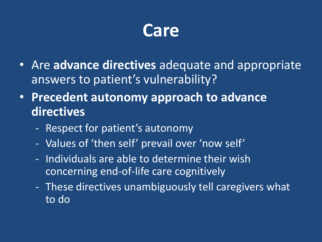

- Are **advance directives** adequate and appropriate answers to patient's vulnerability?
- **Precedent autonomy approach to advance directives**
	- Respect for patient's autonomy
	- Values of 'then self' prevail over 'now self'
	- Individuals are able to determine their wish concerning end-of-life care cognitively
	- These directives unambiguously tell caregivers what to do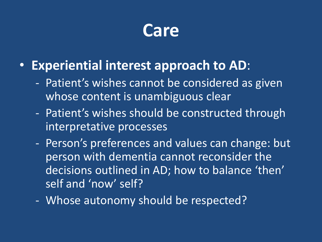

#### • **Experiential interest approach to AD**:

- Patient's wishes cannot be considered as given whose content is unambiguous clear
- Patient's wishes should be constructed through interpretative processes
- Person's preferences and values can change: but person with dementia cannot reconsider the decisions outlined in AD; how to balance 'then' self and 'now' self?
- Whose autonomy should be respected?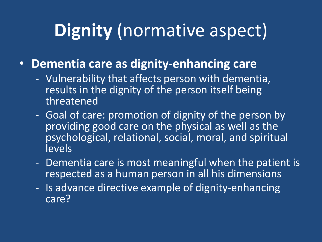# **Dignity** (normative aspect)

- **Dementia care as dignity-enhancing care**
	- Vulnerability that affects person with dementia, results in the dignity of the person itself being threatened
	- Goal of care: promotion of dignity of the person by providing good care on the physical as well as the psychological, relational, social, moral, and spiritual levels
	- Dementia care is most meaningful when the patient is respected as a human person in all his dimensions
	- Is advance directive example of dignity-enhancing care?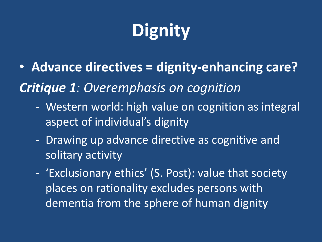# **Dignity**

- **Advance directives = dignity-enhancing care?** *Critique 1: Overemphasis on cognition*
	- Western world: high value on cognition as integral aspect of individual's dignity
	- Drawing up advance directive as cognitive and solitary activity
	- 'Exclusionary ethics' (S. Post): value that society places on rationality excludes persons with dementia from the sphere of human dignity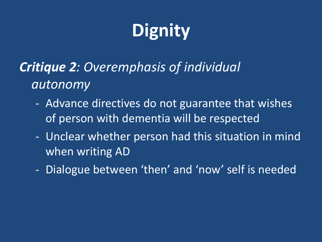# **Dignity**

### *Critique 2: Overemphasis of individual autonomy*

- Advance directives do not guarantee that wishes of person with dementia will be respected
- Unclear whether person had this situation in mind when writing AD
- Dialogue between 'then' and 'now' self is needed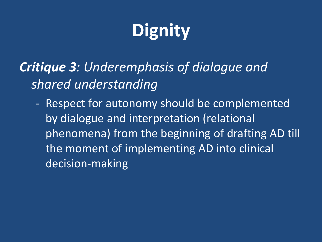# **Dignity**

### *Critique 3: Underemphasis of dialogue and shared understanding*

- Respect for autonomy should be complemented by dialogue and interpretation (relational phenomena) from the beginning of drafting AD till the moment of implementing AD into clinical decision-making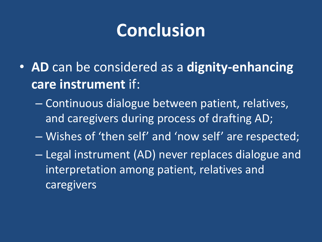## **Conclusion**

- **AD** can be considered as a **dignity-enhancing care instrument** if:
	- Continuous dialogue between patient, relatives, and caregivers during process of drafting AD;
	- Wishes of 'then self' and 'now self' are respected;
	- Legal instrument (AD) never replaces dialogue and interpretation among patient, relatives and caregivers